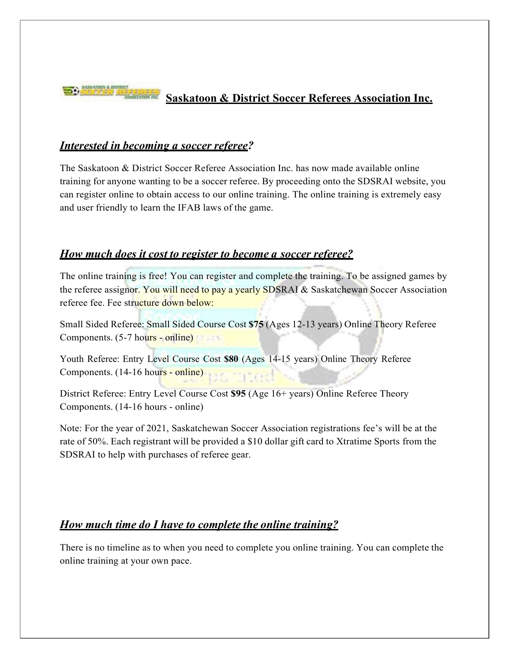

# **Saskatoon & District Soccer Referees Association Inc.**

#### *Interested in becoming a soccer referee?*

The Saskatoon & District Soccer Referee Association Inc. has now made available online training for anyone wanting to be a soccer referee. By proceeding onto the SDSRAI website, you can register online to obtain access to our online training. The online training is extremely easy and user friendly to learn the IFAB laws of the game.

#### *How much does it cost to register to become a soccer referee?*

The online training is free! You can register and complete the training. To be assigned games by the referee assignor. You will need to pay a yearly SDSRAI & Saskatchewan Soccer Association referee fee. Fee structure down below:

Small Sided Referee: Small Sided Course Cost **\$75** (Ages 12-13 years) Online Theory Referee Components. (5-7 hours - online)

Youth Referee: Entry Level Course Cost **\$80** (Ages 14-15 years) Online Theory Referee Components. (14-16 hours - online)

District Referee: Entry Level Course Cost **\$95** (Age 16+ years) Online Referee Theory Components. (14-16 hours - online)

Note: For the year of 2021, Saskatchewan Soccer Association registrations fee's will be at the rate of 50%. Each registrant will be provided a \$10 dollar gift card to Xtratime Sports from the SDSRAI to help with purchases of referee gear.

# *How much time do I have to complete the online training?*

There is no timeline as to when you need to complete you online training. You can complete the online training at your own pace.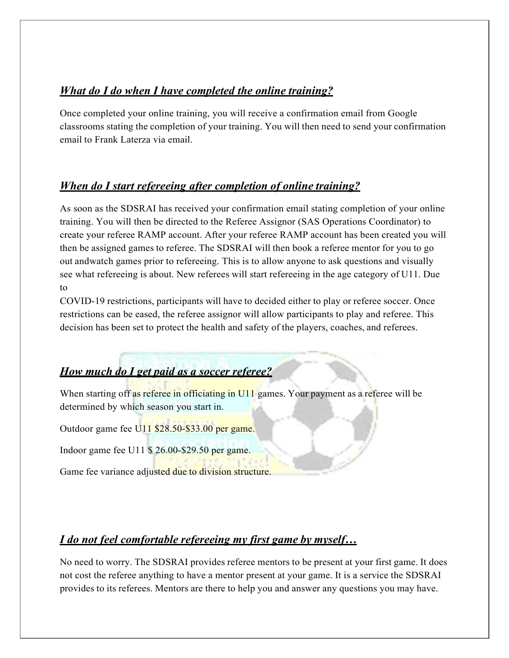#### *What do I do when I have completed the online training?*

Once completed your online training, you will receive a confirmation email from Google classrooms stating the completion of your training. You will then need to send your confirmation email to Frank Laterza via email.

#### *When do I start refereeing after completion of online training?*

As soon as the SDSRAI has received your confirmation email stating completion of your online training. You will then be directed to the Referee Assignor (SAS Operations Coordinator) to create your referee RAMP account. After your referee RAMP account has been created you will then be assigned games to referee. The SDSRAI will then book a referee mentor for you to go out andwatch games prior to refereeing. This is to allow anyone to ask questions and visually see what refereeing is about. New referees will start refereeing in the age category of U11. Due to

COVID-19 restrictions, participants will have to decided either to play or referee soccer. Once restrictions can be eased, the referee assignor will allow participants to play and referee. This decision has been set to protect the health and safety of the players, coaches, and referees.

# *How much do I get paid as a soccer referee?*

When starting off as referee in officiating in U11 games. Your payment as a referee will be determined by which season you start in.

Outdoor game fee U11 \$28.50-\$33.00 per game.

Indoor game fee U11 \$ 26.00-\$29.50 per game.

Game fee variance adjusted due to division structure.

#### *I do not feel comfortable refereeing my first game by myself…*

No need to worry. The SDSRAI provides referee mentors to be present at your first game. It does not cost the referee anything to have a mentor present at your game. It is a service the SDSRAI provides to its referees. Mentors are there to help you and answer any questions you may have.